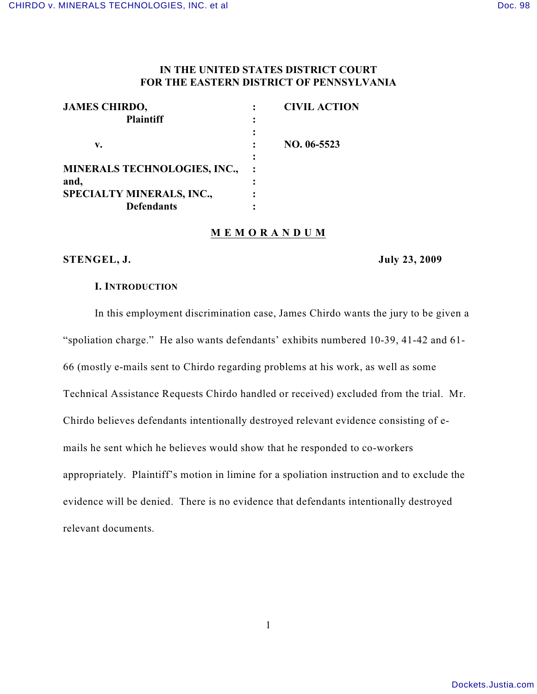# **IN THE UNITED STATES DISTRICT COURT FOR THE EASTERN DISTRICT OF PENNSYLVANIA**

| <b>JAMES CHIRDO,</b>                |   | <b>CIVIL ACTION</b> |
|-------------------------------------|---|---------------------|
| <b>Plaintiff</b>                    |   |                     |
|                                     |   |                     |
| v.                                  |   | NO. 06-5523         |
|                                     | ٠ |                     |
| <b>MINERALS TECHNOLOGIES, INC.,</b> |   |                     |
| and,                                |   |                     |
| <b>SPECIALTY MINERALS, INC.,</b>    |   |                     |
| <b>Defendants</b>                   |   |                     |

### **M E M O R A N D U M**

### **STENGEL, J. July 23, 2009**

#### **I. INTRODUCTION**

In this employment discrimination case, James Chirdo wants the jury to be given a "spoliation charge." He also wants defendants' exhibits numbered 10-39, 41-42 and 61- 66 (mostly e-mails sent to Chirdo regarding problems at his work, as well as some Technical Assistance Requests Chirdo handled or received) excluded from the trial. Mr. Chirdo believes defendants intentionally destroyed relevant evidence consisting of emails he sent which he believes would show that he responded to co-workers appropriately. Plaintiff's motion in limine for a spoliation instruction and to exclude the evidence will be denied. There is no evidence that defendants intentionally destroyed relevant documents.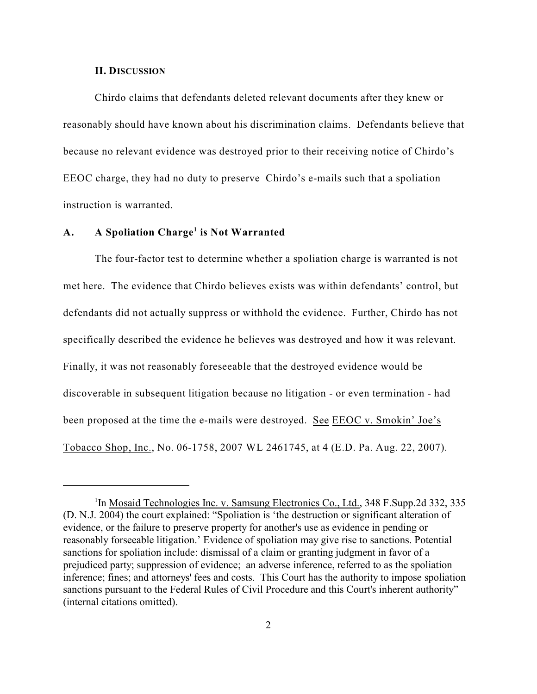#### **II. DISCUSSION**

Chirdo claims that defendants deleted relevant documents after they knew or reasonably should have known about his discrimination claims. Defendants believe that because no relevant evidence was destroyed prior to their receiving notice of Chirdo's EEOC charge, they had no duty to preserve Chirdo's e-mails such that a spoliation instruction is warranted.

## A. **A** Spoliation Charge<sup>1</sup> is Not Warranted

The four-factor test to determine whether a spoliation charge is warranted is not met here. The evidence that Chirdo believes exists was within defendants' control, but defendants did not actually suppress or withhold the evidence. Further, Chirdo has not specifically described the evidence he believes was destroyed and how it was relevant. Finally, it was not reasonably foreseeable that the destroyed evidence would be discoverable in subsequent litigation because no litigation - or even termination - had been proposed at the time the e-mails were destroyed. See EEOC v. Smokin' Joe's Tobacco Shop, Inc., No. 06-1758, 2007 WL 2461745, at 4 (E.D. Pa. Aug. 22, 2007).

<sup>&</sup>lt;sup>1</sup>In Mosaid Technologies Inc. v. Samsung Electronics Co., Ltd., 348 F.Supp.2d 332, 335 (D. N.J. 2004) the court explained: "Spoliation is 'the destruction or significant alteration of evidence, or the failure to preserve property for another's use as evidence in pending or reasonably forseeable litigation.' Evidence of spoliation may give rise to sanctions. Potential sanctions for spoliation include: dismissal of a claim or granting judgment in favor of a prejudiced party; suppression of evidence; an adverse inference, referred to as the spoliation inference; fines; and attorneys' fees and costs. This Court has the authority to impose spoliation sanctions pursuant to the Federal Rules of Civil Procedure and this Court's inherent authority" (internal citations omitted).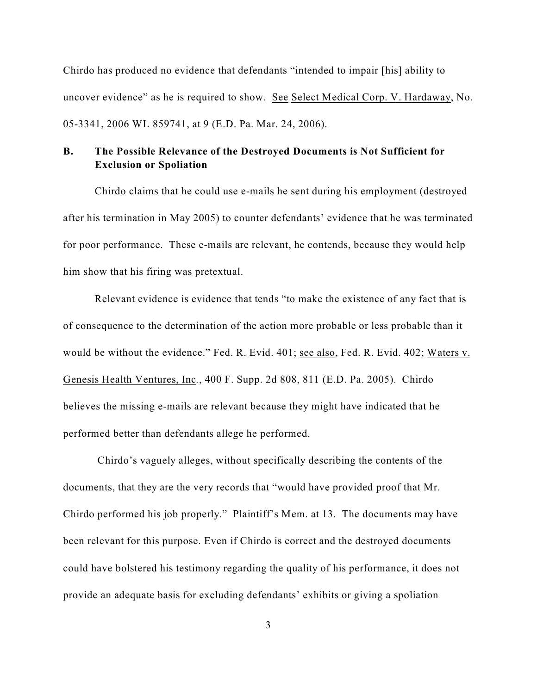Chirdo has produced no evidence that defendants "intended to impair [his] ability to uncover evidence" as he is required to show. See Select Medical Corp. V. Hardaway, No. 05-3341, 2006 WL 859741, at 9 (E.D. Pa. Mar. 24, 2006).

# **B. The Possible Relevance of the Destroyed Documents is Not Sufficient for Exclusion or Spoliation**

Chirdo claims that he could use e-mails he sent during his employment (destroyed after his termination in May 2005) to counter defendants' evidence that he was terminated for poor performance. These e-mails are relevant, he contends, because they would help him show that his firing was pretextual.

Relevant evidence is evidence that tends "to make the existence of any fact that is of consequence to the determination of the action more probable or less probable than it would be without the evidence." Fed. R. Evid. 401; see also, Fed. R. Evid. 402; Waters v. Genesis Health Ventures, Inc*.*, 400 F. Supp. 2d 808, 811 (E.D. Pa. 2005). Chirdo believes the missing e-mails are relevant because they might have indicated that he performed better than defendants allege he performed.

 Chirdo's vaguely alleges, without specifically describing the contents of the documents, that they are the very records that "would have provided proof that Mr. Chirdo performed his job properly." Plaintiff's Mem. at 13. The documents may have been relevant for this purpose. Even if Chirdo is correct and the destroyed documents could have bolstered his testimony regarding the quality of his performance, it does not provide an adequate basis for excluding defendants' exhibits or giving a spoliation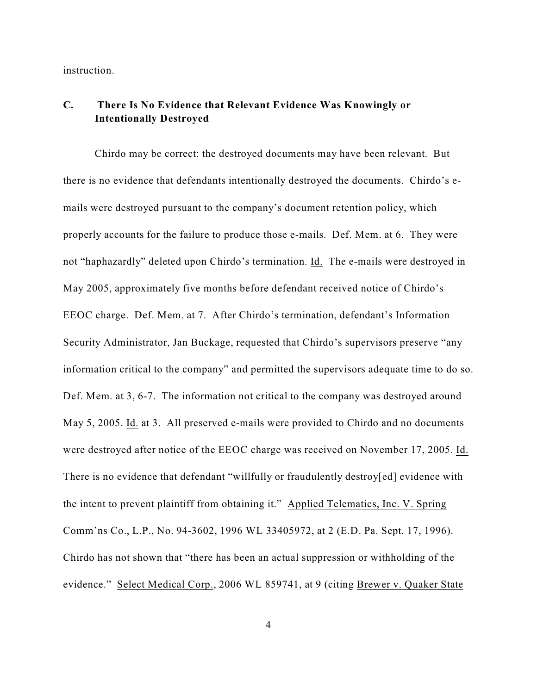instruction.

# **C. There Is No Evidence that Relevant Evidence Was Knowingly or Intentionally Destroyed**

Chirdo may be correct: the destroyed documents may have been relevant. But there is no evidence that defendants intentionally destroyed the documents. Chirdo's emails were destroyed pursuant to the company's document retention policy, which properly accounts for the failure to produce those e-mails. Def. Mem. at 6. They were not "haphazardly" deleted upon Chirdo's termination. Id. The e-mails were destroyed in May 2005, approximately five months before defendant received notice of Chirdo's EEOC charge. Def. Mem. at 7. After Chirdo's termination, defendant's Information Security Administrator, Jan Buckage, requested that Chirdo's supervisors preserve "any information critical to the company" and permitted the supervisors adequate time to do so. Def. Mem. at 3, 6-7. The information not critical to the company was destroyed around May 5, 2005. Id. at 3. All preserved e-mails were provided to Chirdo and no documents were destroyed after notice of the EEOC charge was received on November 17, 2005. Id. There is no evidence that defendant "willfully or fraudulently destroy[ed] evidence with the intent to prevent plaintiff from obtaining it." Applied Telematics, Inc. V. Spring Comm'ns Co., L.P., No. 94-3602, 1996 WL 33405972, at 2 (E.D. Pa. Sept. 17, 1996). Chirdo has not shown that "there has been an actual suppression or withholding of the evidence." Select Medical Corp., 2006 WL 859741, at 9 (citing Brewer v. Quaker State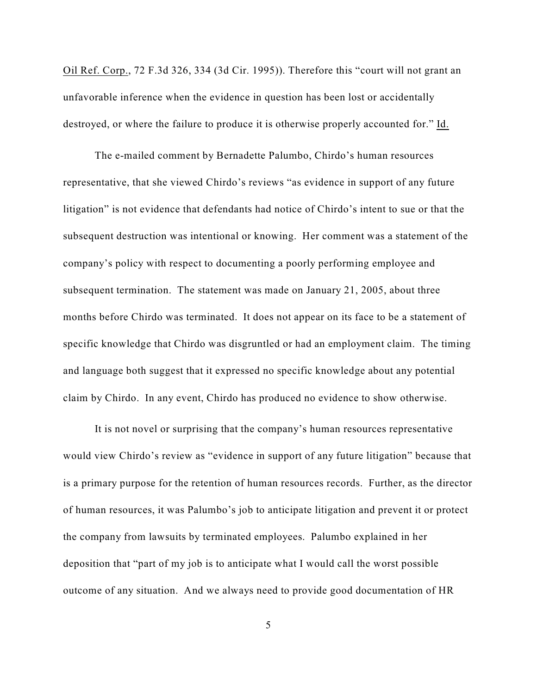Oil Ref. Corp., 72 F.3d 326, 334 (3d Cir. 1995)). Therefore this "court will not grant an unfavorable inference when the evidence in question has been lost or accidentally destroyed, or where the failure to produce it is otherwise properly accounted for." Id.

The e-mailed comment by Bernadette Palumbo, Chirdo's human resources representative, that she viewed Chirdo's reviews "as evidence in support of any future litigation" is not evidence that defendants had notice of Chirdo's intent to sue or that the subsequent destruction was intentional or knowing. Her comment was a statement of the company's policy with respect to documenting a poorly performing employee and subsequent termination. The statement was made on January 21, 2005, about three months before Chirdo was terminated. It does not appear on its face to be a statement of specific knowledge that Chirdo was disgruntled or had an employment claim. The timing and language both suggest that it expressed no specific knowledge about any potential claim by Chirdo. In any event, Chirdo has produced no evidence to show otherwise.

It is not novel or surprising that the company's human resources representative would view Chirdo's review as "evidence in support of any future litigation" because that is a primary purpose for the retention of human resources records. Further, as the director of human resources, it was Palumbo's job to anticipate litigation and prevent it or protect the company from lawsuits by terminated employees. Palumbo explained in her deposition that "part of my job is to anticipate what I would call the worst possible outcome of any situation. And we always need to provide good documentation of HR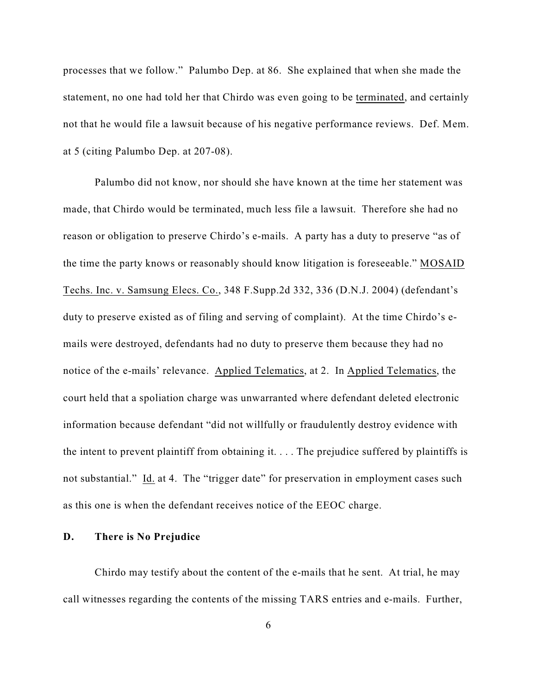processes that we follow." Palumbo Dep. at 86. She explained that when she made the statement, no one had told her that Chirdo was even going to be terminated, and certainly not that he would file a lawsuit because of his negative performance reviews. Def. Mem. at 5 (citing Palumbo Dep. at 207-08).

Palumbo did not know, nor should she have known at the time her statement was made, that Chirdo would be terminated, much less file a lawsuit. Therefore she had no reason or obligation to preserve Chirdo's e-mails. A party has a duty to preserve "as of the time the party knows or reasonably should know litigation is foreseeable." MOSAID Techs. Inc. v. Samsung Elecs. Co., 348 F.Supp.2d 332, 336 (D.N.J. 2004) (defendant's duty to preserve existed as of filing and serving of complaint). At the time Chirdo's emails were destroyed, defendants had no duty to preserve them because they had no notice of the e-mails' relevance. Applied Telematics, at 2. In Applied Telematics, the court held that a spoliation charge was unwarranted where defendant deleted electronic information because defendant "did not willfully or fraudulently destroy evidence with the intent to prevent plaintiff from obtaining it. . . . The prejudice suffered by plaintiffs is not substantial." Id. at 4. The "trigger date" for preservation in employment cases such as this one is when the defendant receives notice of the EEOC charge.

## **D. There is No Prejudice**

Chirdo may testify about the content of the e-mails that he sent. At trial, he may call witnesses regarding the contents of the missing TARS entries and e-mails. Further,